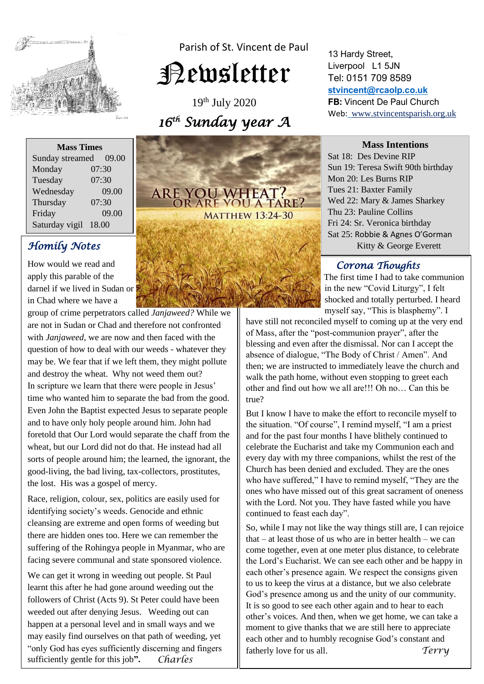

Parish of St. Vincent de Paul

# Newsletter

19th July 2020 *16 th Sunday year A* 

**Mass Times** Sunday streamed 09.00 Monday 07:30 Tuesday 07:30 Wednesday 09.00 Thursday 07:30 Friday 09.00 Saturday vigil 18.00

# *Homily Notes*

How would we read and apply this parable of the darnel if we lived in Sudan or in Chad where we have a

group of crime perpetrators called *Janjaweed?* While we are not in Sudan or Chad and therefore not confronted with *Janjaweed*, we are now and then faced with the question of how to deal with our weeds - whatever they may be. We fear that if we left them, they might pollute and destroy the wheat. Why not weed them out? In scripture we learn that there were people in Jesus' time who wanted him to separate the bad from the good. Even John the Baptist expected Jesus to separate people and to have only holy people around him. John had foretold that Our Lord would separate the chaff from the wheat, but our Lord did not do that. He instead had all sorts of people around him; the learned, the ignorant, the good-living, the bad living, tax-collectors, prostitutes, the lost. His was a gospel of mercy.

Race, religion, colour, sex, politics are easily used for identifying society's weeds. Genocide and ethnic cleansing are extreme and open forms of weeding but there are hidden ones too. Here we can remember the suffering of the Rohingya people in Myanmar, who are facing severe communal and state sponsored violence.

We can get it wrong in weeding out people. St Paul learnt this after he had gone around weeding out the followers of Christ (Acts 9). St Peter could have been weeded out after denying Jesus. Weeding out can happen at a personal level and in small ways and we may easily find ourselves on that path of weeding, yet "only God has eyes sufficiently discerning and fingers sufficiently gentle for this job**".** *Charles*

# **ARE YOU WHEAT?**<br>OR ARE YOU A TARE?

**MATTHEW 13:24-30** 

13 Hardy Street, Liverpool L1 5JN Tel: 0151 709 8589 **[stvincent@rcaolp.co.uk](mailto:stvincent@rcaolp.co.uk) FB:** Vincent De Paul Church Web: www.stvincentsparish.org.uk

#### **Mass Intentions**

Sat 18: Des Devine RIP Sun 19: Teresa Swift 90th birthday Mon 20: Les Burns RIP Tues 21: Baxter Family Wed 22: Mary & James Sharkey Thu 23: Pauline Collins Fri 24: Sr. Veronica birthday Sat 25: Robbie & Agnes O'Gorman Kitty & George Everett

# *Corona Thoughts*

 The first time I had to take communion in the new "Covid Liturgy", I felt shocked and totally perturbed. I heard myself say, "This is blasphemy". I

have still not reconciled myself to coming up at the very end of Mass, after the "post-communion prayer", after the blessing and even after the dismissal. Nor can I accept the absence of dialogue, "The Body of Christ / Amen". And then; we are instructed to immediately leave the church and walk the path home, without even stopping to greet each other and find out how we all are!!! Oh no… Can this be true?

But I know I have to make the effort to reconcile myself to the situation. "Of course", I remind myself, "I am a priest and for the past four months I have blithely continued to celebrate the Eucharist and take my Communion each and every day with my three companions, whilst the rest of the Church has been denied and excluded. They are the ones who have suffered," I have to remind myself, "They are the ones who have missed out of this great sacrament of oneness with the Lord. Not you. They have fasted while you have continued to feast each day".

So, while I may not like the way things still are, I can rejoice that  $-$  at least those of us who are in better health  $-$  we can come together, even at one meter plus distance, to celebrate the Lord's Eucharist. We can see each other and be happy in each other's presence again. We respect the consigns given to us to keep the virus at a distance, but we also celebrate God's presence among us and the unity of our community. It is so good to see each other again and to hear to each other's voices. And then, when we get home, we can take a moment to give thanks that we are still here to appreciate each other and to humbly recognise God's constant and fatherly love for us all. *Terry*